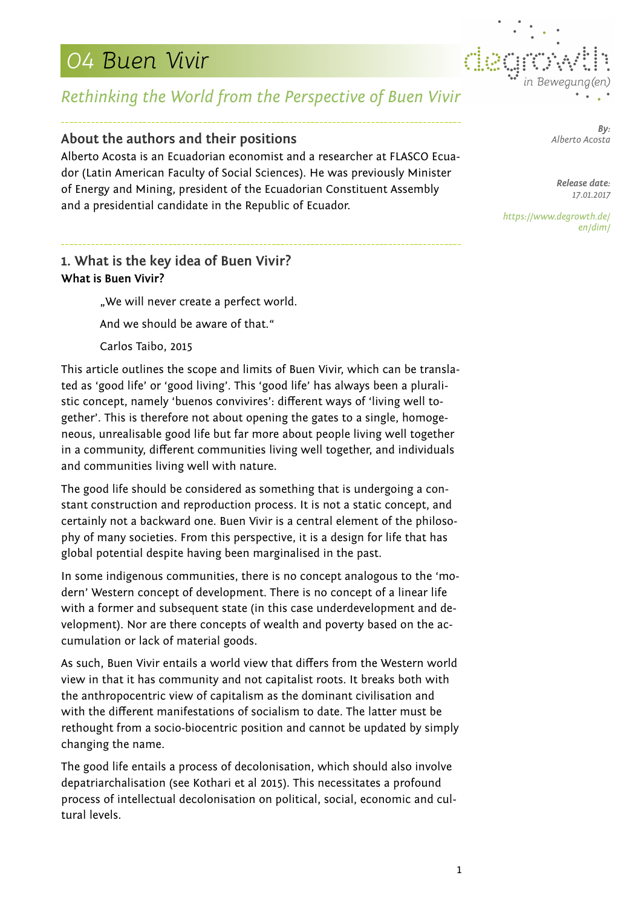

## *Rethinking the World from the Perspective of Buen Vivir*

### **About the authors and their positions**

Alberto Acosta is an Ecuadorian economist and a researcher at FLASCO Ecuador (Latin American Faculty of Social Sciences). He was previously Minister of Energy and Mining, president of the Ecuadorian Constituent Assembly and a presidential candidate in the Republic of Ecuador.

## **1. What is the key idea of Buen Vivir? What is Buen Vivir?**

..We will never create a perfect world. And we should be aware of that." Carlos Taibo, 2015

This article outlines the scope and limits of Buen Vivir, which can be translated as 'good life' or 'good living'. This 'good life' has always been a pluralistic concept, namely 'buenos convivires': different ways of 'living well together'. This is therefore not about opening the gates to a single, homogeneous, unrealisable good life but far more about people living well together in a community, different communities living well together, and individuals and communities living well with nature.

The good life should be considered as something that is undergoing a constant construction and reproduction process. It is not a static concept, and certainly not a backward one. Buen Vivir is a central element of the philosophy of many societies. From this perspective, it is a design for life that has global potential despite having been marginalised in the past.

In some indigenous communities, there is no concept analogous to the 'modern' Western concept of development. There is no concept of a linear life with a former and subsequent state (in this case underdevelopment and development). Nor are there concepts of wealth and poverty based on the accumulation or lack of material goods.

As such, Buen Vivir entails a world view that differs from the Western world view in that it has community and not capitalist roots. It breaks both with the anthropocentric view of capitalism as the dominant civilisation and with the different manifestations of socialism to date. The latter must be rethought from a socio-biocentric position and cannot be updated by simply changing the name.

The good life entails a process of decolonisation, which should also involve depatriarchalisation (see Kothari et al 2015). This necessitates a profound process of intellectual decolonisation on political, social, economic and cultural levels.

*By: Alberto Acosta*

*Release date: 17.01.2017*

*https://www.degrowth.de/ en/dim/*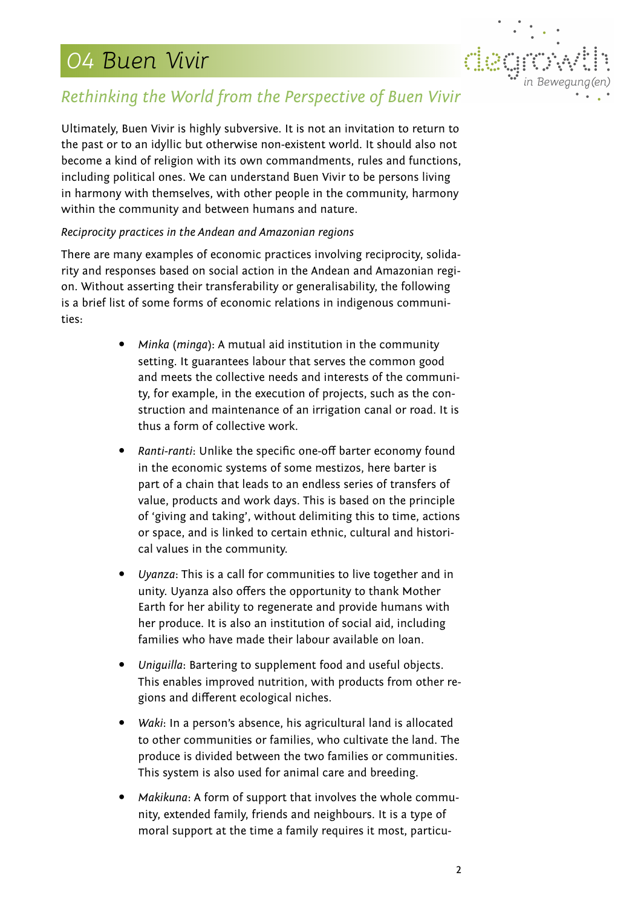

## *Rethinking the World from the Perspective of Buen Vivir*

Ultimately, Buen Vivir is highly subversive. It is not an invitation to return to the past or to an idyllic but otherwise non-existent world. It should also not become a kind of religion with its own commandments, rules and functions, including political ones. We can understand Buen Vivir to be persons living in harmony with themselves, with other people in the community, harmony within the community and between humans and nature.

### *Reciprocity practices in the Andean and Amazonian regions*

There are many examples of economic practices involving reciprocity, solidarity and responses based on social action in the Andean and Amazonian region. Without asserting their transferability or generalisability, the following is a brief list of some forms of economic relations in indigenous communities:

- *Minka* (*minga*): A mutual aid institution in the community setting. It guarantees labour that serves the common good and meets the collective needs and interests of the community, for example, in the execution of projects, such as the construction and maintenance of an irrigation canal or road. It is thus a form of collective work.
- *Ranti-ranti*: Unlike the specific one-off barter economy found in the economic systems of some mestizos, here barter is part of a chain that leads to an endless series of transfers of value, products and work days. This is based on the principle of 'giving and taking', without delimiting this to time, actions or space, and is linked to certain ethnic, cultural and historical values in the community.
- *Uyanza*: This is a call for communities to live together and in unity. Uyanza also offers the opportunity to thank Mother Earth for her ability to regenerate and provide humans with her produce. It is also an institution of social aid, including families who have made their labour available on loan.
- *Uniguilla*: Bartering to supplement food and useful objects. This enables improved nutrition, with products from other regions and different ecological niches.
- *Waki*: In a person's absence, his agricultural land is allocated to other communities or families, who cultivate the land. The produce is divided between the two families or communities. This system is also used for animal care and breeding.
- *Makikuna*: A form of support that involves the whole community, extended family, friends and neighbours. It is a type of moral support at the time a family requires it most, particu-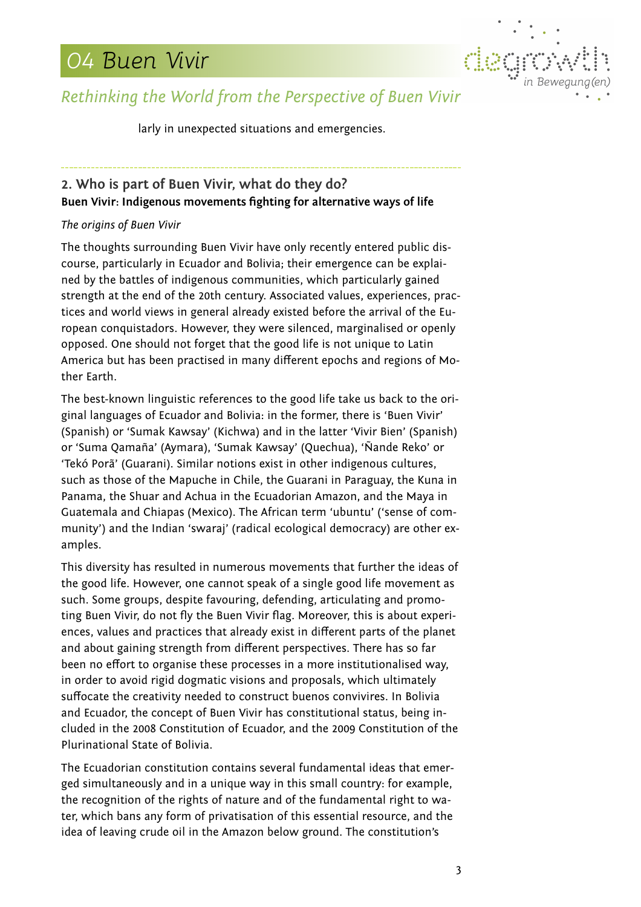

## *Rethinking the World from the Perspective of Buen Vivir*

larly in unexpected situations and emergencies.

## **2. Who is part of Buen Vivir, what do they do? Buen Vivir: Indigenous movements fighting for alternative ways of life**

### *The origins of Buen Vivir*

The thoughts surrounding Buen Vivir have only recently entered public discourse, particularly in Ecuador and Bolivia; their emergence can be explained by the battles of indigenous communities, which particularly gained strength at the end of the 20th century. Associated values, experiences, practices and world views in general already existed before the arrival of the European conquistadors. However, they were silenced, marginalised or openly opposed. One should not forget that the good life is not unique to Latin America but has been practised in many different epochs and regions of Mother Earth.

The best-known linguistic references to the good life take us back to the original languages of Ecuador and Bolivia: in the former, there is 'Buen Vivir' (Spanish) or 'Sumak Kawsay' (Kichwa) and in the latter 'Vivir Bien' (Spanish) or 'Suma Qamaña' (Aymara), 'Sumak Kawsay' (Quechua), 'Ñande Reko' or 'Tekó Porã' (Guarani). Similar notions exist in other indigenous cultures, such as those of the Mapuche in Chile, the Guarani in Paraguay, the Kuna in Panama, the Shuar and Achua in the Ecuadorian Amazon, and the Maya in Guatemala and Chiapas (Mexico). The African term 'ubuntu' ('sense of community') and the Indian 'swaraj' (radical ecological democracy) are other examples.

This diversity has resulted in numerous movements that further the ideas of the good life. However, one cannot speak of a single good life movement as such. Some groups, despite favouring, defending, articulating and promoting Buen Vivir, do not fly the Buen Vivir flag. Moreover, this is about experiences, values and practices that already exist in different parts of the planet and about gaining strength from different perspectives. There has so far been no effort to organise these processes in a more institutionalised way, in order to avoid rigid dogmatic visions and proposals, which ultimately suffocate the creativity needed to construct buenos convivires. In Bolivia and Ecuador, the concept of Buen Vivir has constitutional status, being included in the 2008 Constitution of Ecuador, and the 2009 Constitution of the Plurinational State of Bolivia.

The Ecuadorian constitution contains several fundamental ideas that emerged simultaneously and in a unique way in this small country: for example, the recognition of the rights of nature and of the fundamental right to water, which bans any form of privatisation of this essential resource, and the idea of leaving crude oil in the Amazon below ground. The constitution's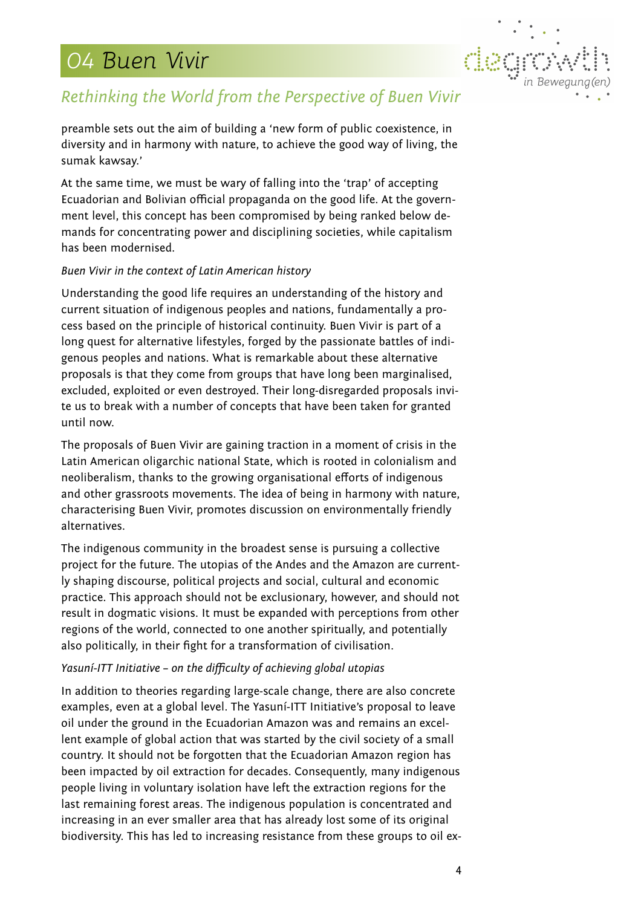

## *Rethinking the World from the Perspective of Buen Vivir*

preamble sets out the aim of building a 'new form of public coexistence, in diversity and in harmony with nature, to achieve the good way of living, the sumak kawsay.'

At the same time, we must be wary of falling into the 'trap' of accepting Ecuadorian and Bolivian official propaganda on the good life. At the government level, this concept has been compromised by being ranked below demands for concentrating power and disciplining societies, while capitalism has been modernised.

#### *Buen Vivir in the context of Latin American history*

Understanding the good life requires an understanding of the history and current situation of indigenous peoples and nations, fundamentally a process based on the principle of historical continuity. Buen Vivir is part of a long quest for alternative lifestyles, forged by the passionate battles of indigenous peoples and nations. What is remarkable about these alternative proposals is that they come from groups that have long been marginalised, excluded, exploited or even destroyed. Their long-disregarded proposals invite us to break with a number of concepts that have been taken for granted until now.

The proposals of Buen Vivir are gaining traction in a moment of crisis in the Latin American oligarchic national State, which is rooted in colonialism and neoliberalism, thanks to the growing organisational efforts of indigenous and other grassroots movements. The idea of being in harmony with nature, characterising Buen Vivir, promotes discussion on environmentally friendly alternatives.

The indigenous community in the broadest sense is pursuing a collective project for the future. The utopias of the Andes and the Amazon are currently shaping discourse, political projects and social, cultural and economic practice. This approach should not be exclusionary, however, and should not result in dogmatic visions. It must be expanded with perceptions from other regions of the world, connected to one another spiritually, and potentially also politically, in their fight for a transformation of civilisation.

#### *Yasuní-ITT Initiative – on the difficulty of achieving global utopias*

In addition to theories regarding large-scale change, there are also concrete examples, even at a global level. The Yasuní-ITT Initiative's proposal to leave oil under the ground in the Ecuadorian Amazon was and remains an excellent example of global action that was started by the civil society of a small country. It should not be forgotten that the Ecuadorian Amazon region has been impacted by oil extraction for decades. Consequently, many indigenous people living in voluntary isolation have left the extraction regions for the last remaining forest areas. The indigenous population is concentrated and increasing in an ever smaller area that has already lost some of its original biodiversity. This has led to increasing resistance from these groups to oil ex-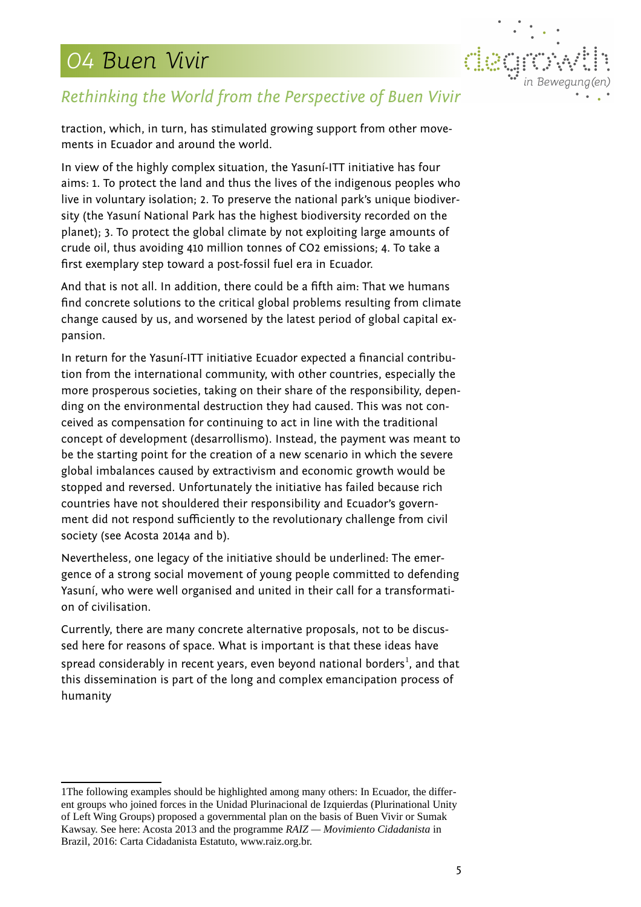

## *Rethinking the World from the Perspective of Buen Vivir*

traction, which, in turn, has stimulated growing support from other movements in Ecuador and around the world.

In view of the highly complex situation, the Yasuní-ITT initiative has four aims: 1. To protect the land and thus the lives of the indigenous peoples who live in voluntary isolation; 2. To preserve the national park's unique biodiversity (the Yasuní National Park has the highest biodiversity recorded on the planet); 3. To protect the global climate by not exploiting large amounts of crude oil, thus avoiding 410 million tonnes of CO2 emissions; 4. To take a first exemplary step toward a post-fossil fuel era in Ecuador.

And that is not all. In addition, there could be a fifth aim: That we humans find concrete solutions to the critical global problems resulting from climate change caused by us, and worsened by the latest period of global capital expansion.

In return for the Yasuní-ITT initiative Ecuador expected a financial contribution from the international community, with other countries, especially the more prosperous societies, taking on their share of the responsibility, depending on the environmental destruction they had caused. This was not conceived as compensation for continuing to act in line with the traditional concept of development (desarrollismo). Instead, the payment was meant to be the starting point for the creation of a new scenario in which the severe global imbalances caused by extractivism and economic growth would be stopped and reversed. Unfortunately the initiative has failed because rich countries have not shouldered their responsibility and Ecuador's government did not respond sufficiently to the revolutionary challenge from civil society (see Acosta 2014a and b).

Nevertheless, one legacy of the initiative should be underlined: The emergence of a strong social movement of young people committed to defending Yasuní, who were well organised and united in their call for a transformation of civilisation.

Currently, there are many concrete alternative proposals, not to be discussed here for reasons of space. What is important is that these ideas have spread considerably in recent years, even beyond national borders $^{\rm 1}$  $^{\rm 1}$  $^{\rm 1}$ , and that this dissemination is part of the long and complex emancipation process of humanity

<span id="page-4-0"></span><sup>1</sup>The following examples should be highlighted among many others: In Ecuador, the different groups who joined forces in the Unidad Plurinacional de Izquierdas (Plurinational Unity of Left Wing Groups) proposed a governmental plan on the basis of Buen Vivir or Sumak Kawsay. See here: Acosta 2013 and the programme *RAIZ — Movimiento Cidadanista* in Brazil, 2016: Carta Cidadanista Estatuto, www.raiz.org.br.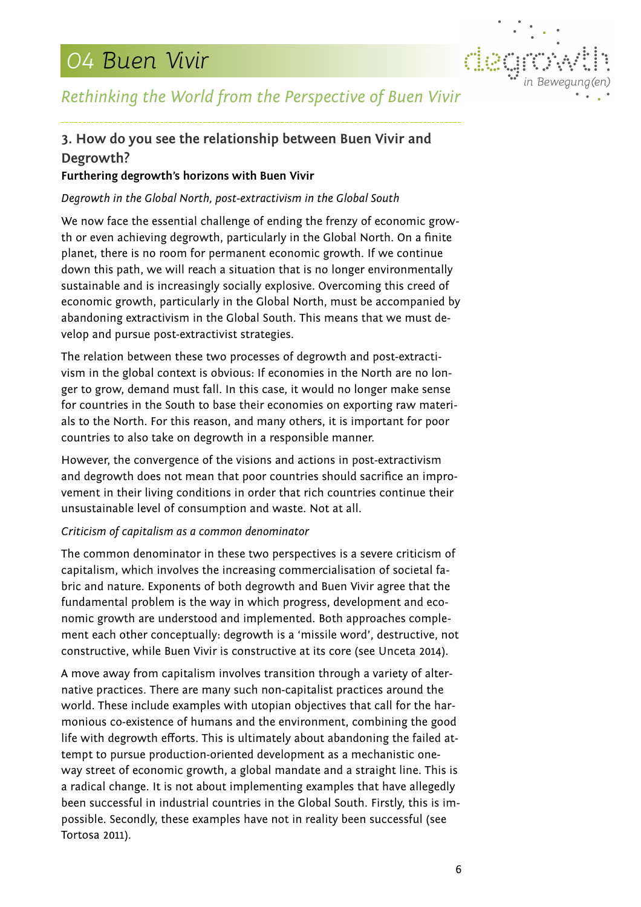

## *Rethinking the World from the Perspective of Buen Vivir*

## **3. How do you see the relationship between Buen Vivir and Degrowth?**

### **Furthering degrowth's horizons with Buen Vivir**

### *Degrowth in the Global North, post-extractivism in the Global South*

We now face the essential challenge of ending the frenzy of economic growth or even achieving degrowth, particularly in the Global North. On a finite planet, there is no room for permanent economic growth. If we continue down this path, we will reach a situation that is no longer environmentally sustainable and is increasingly socially explosive. Overcoming this creed of economic growth, particularly in the Global North, must be accompanied by abandoning extractivism in the Global South. This means that we must develop and pursue post-extractivist strategies.

The relation between these two processes of degrowth and post-extractivism in the global context is obvious: If economies in the North are no longer to grow, demand must fall. In this case, it would no longer make sense for countries in the South to base their economies on exporting raw materials to the North. For this reason, and many others, it is important for poor countries to also take on degrowth in a responsible manner.

However, the convergence of the visions and actions in post-extractivism and degrowth does not mean that poor countries should sacrifice an improvement in their living conditions in order that rich countries continue their unsustainable level of consumption and waste. Not at all.

#### *Criticism of capitalism as a common denominator*

The common denominator in these two perspectives is a severe criticism of capitalism, which involves the increasing commercialisation of societal fabric and nature. Exponents of both degrowth and Buen Vivir agree that the fundamental problem is the way in which progress, development and economic growth are understood and implemented. Both approaches complement each other conceptually: degrowth is a 'missile word', destructive, not constructive, while Buen Vivir is constructive at its core (see Unceta 2014).

A move away from capitalism involves transition through a variety of alternative practices. There are many such non-capitalist practices around the world. These include examples with utopian objectives that call for the harmonious co-existence of humans and the environment, combining the good life with degrowth efforts. This is ultimately about abandoning the failed attempt to pursue production-oriented development as a mechanistic oneway street of economic growth, a global mandate and a straight line. This is a radical change. It is not about implementing examples that have allegedly been successful in industrial countries in the Global South. Firstly, this is impossible. Secondly, these examples have not in reality been successful (see Tortosa 2011).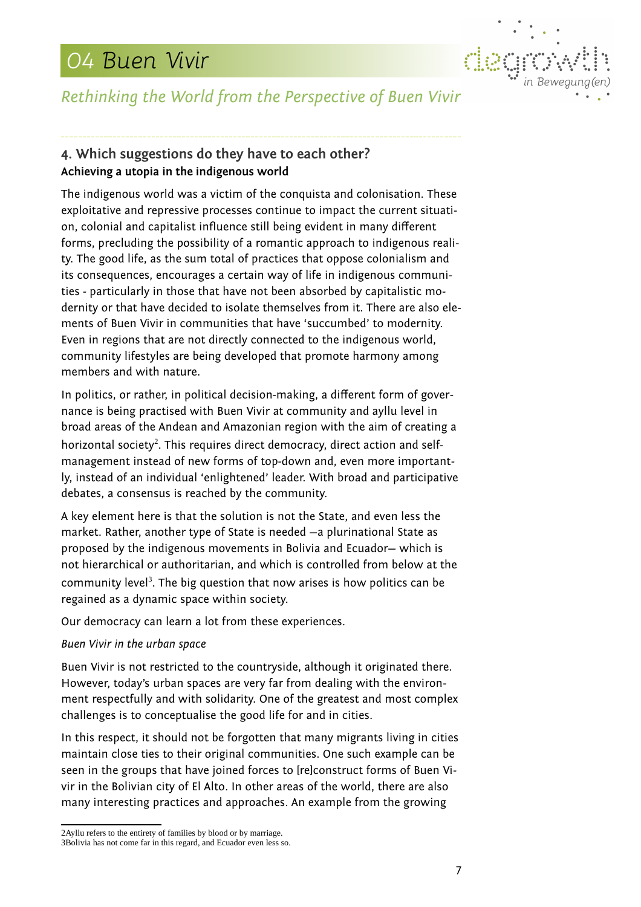

## *Rethinking the World from the Perspective of Buen Vivir*

## **4. Which suggestions do they have to each other? Achieving a utopia in the indigenous world**

The indigenous world was a victim of the conquista and colonisation. These exploitative and repressive processes continue to impact the current situation, colonial and capitalist influence still being evident in many different forms, precluding the possibility of a romantic approach to indigenous reality. The good life, as the sum total of practices that oppose colonialism and its consequences, encourages a certain way of life in indigenous communities - particularly in those that have not been absorbed by capitalistic modernity or that have decided to isolate themselves from it. There are also elements of Buen Vivir in communities that have 'succumbed' to modernity. Even in regions that are not directly connected to the indigenous world, community lifestyles are being developed that promote harmony among members and with nature.

In politics, or rather, in political decision-making, a different form of governance is being practised with Buen Vivir at community and ayllu level in broad areas of the Andean and Amazonian region with the aim of creating a horizontal society $^2$  $^2$ . This requires direct democracy, direct action and selfmanagement instead of new forms of top-down and, even more importantly, instead of an individual 'enlightened' leader. With broad and participative debates, a consensus is reached by the community.

A key element here is that the solution is not the State, and even less the market. Rather, another type of State is needed —a plurinational State as proposed by the indigenous movements in Bolivia and Ecuador— which is not hierarchical or authoritarian, and which is controlled from below at the community level<sup>[3](#page-6-1)</sup>. The big question that now arises is how politics can be regained as a dynamic space within society.

Our democracy can learn a lot from these experiences.

### *Buen Vivir in the urban space*

Buen Vivir is not restricted to the countryside, although it originated there. However, today's urban spaces are very far from dealing with the environment respectfully and with solidarity. One of the greatest and most complex challenges is to conceptualise the good life for and in cities.

In this respect, it should not be forgotten that many migrants living in cities maintain close ties to their original communities. One such example can be seen in the groups that have joined forces to [re]construct forms of Buen Vivir in the Bolivian city of El Alto. In other areas of the world, there are also many interesting practices and approaches. An example from the growing

<span id="page-6-1"></span><span id="page-6-0"></span><sup>2</sup>Ayllu refers to the entirety of families by blood or by marriage. 3Bolivia has not come far in this regard, and Ecuador even less so.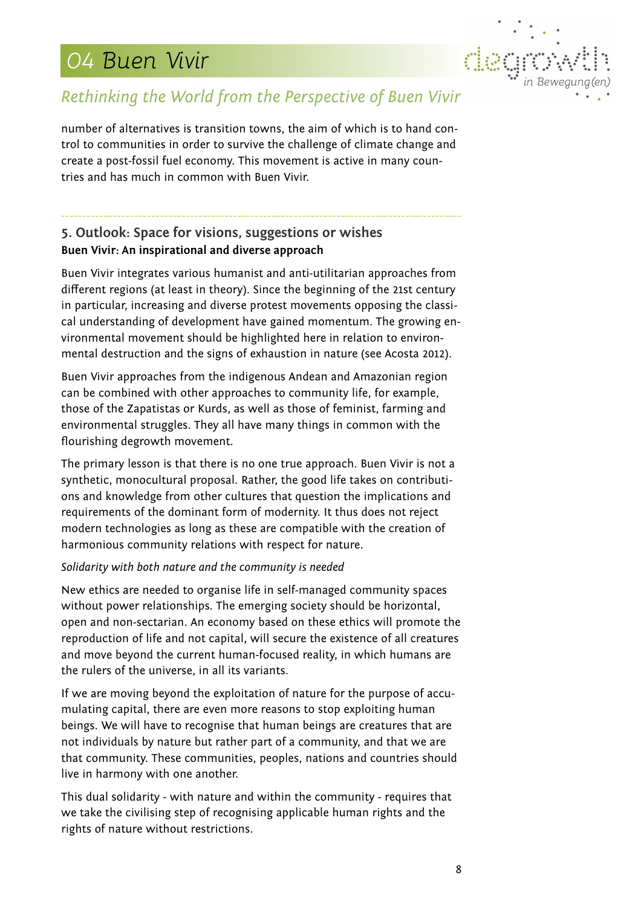

## *Rethinking the World from the Perspective of Buen Vivir*

number of alternatives is transition towns, the aim of which is to hand control to communities in order to survive the challenge of climate change and create a post-fossil fuel economy. This movement is active in many countries and has much in common with Buen Vivir.

## **5. Outlook: Space for visions, suggestions or wishes Buen Vivir: An inspirational and diverse approach**

Buen Vivir integrates various humanist and anti-utilitarian approaches from different regions (at least in theory). Since the beginning of the 21st century in particular, increasing and diverse protest movements opposing the classical understanding of development have gained momentum. The growing environmental movement should be highlighted here in relation to environmental destruction and the signs of exhaustion in nature (see Acosta 2012).

Buen Vivir approaches from the indigenous Andean and Amazonian region can be combined with other approaches to community life, for example, those of the Zapatistas or Kurds, as well as those of feminist, farming and environmental struggles. They all have many things in common with the flourishing degrowth movement.

The primary lesson is that there is no one true approach. Buen Vivir is not a synthetic, monocultural proposal. Rather, the good life takes on contributions and knowledge from other cultures that question the implications and requirements of the dominant form of modernity. It thus does not reject modern technologies as long as these are compatible with the creation of harmonious community relations with respect for nature.

#### *Solidarity with both nature and the community is needed*

New ethics are needed to organise life in self-managed community spaces without power relationships. The emerging society should be horizontal, open and non-sectarian. An economy based on these ethics will promote the reproduction of life and not capital, will secure the existence of all creatures and move beyond the current human-focused reality, in which humans are the rulers of the universe, in all its variants.

If we are moving beyond the exploitation of nature for the purpose of accumulating capital, there are even more reasons to stop exploiting human beings. We will have to recognise that human beings are creatures that are not individuals by nature but rather part of a community, and that we are that community. These communities, peoples, nations and countries should live in harmony with one another.

This dual solidarity - with nature and within the community - requires that we take the civilising step of recognising applicable human rights and the rights of nature without restrictions.